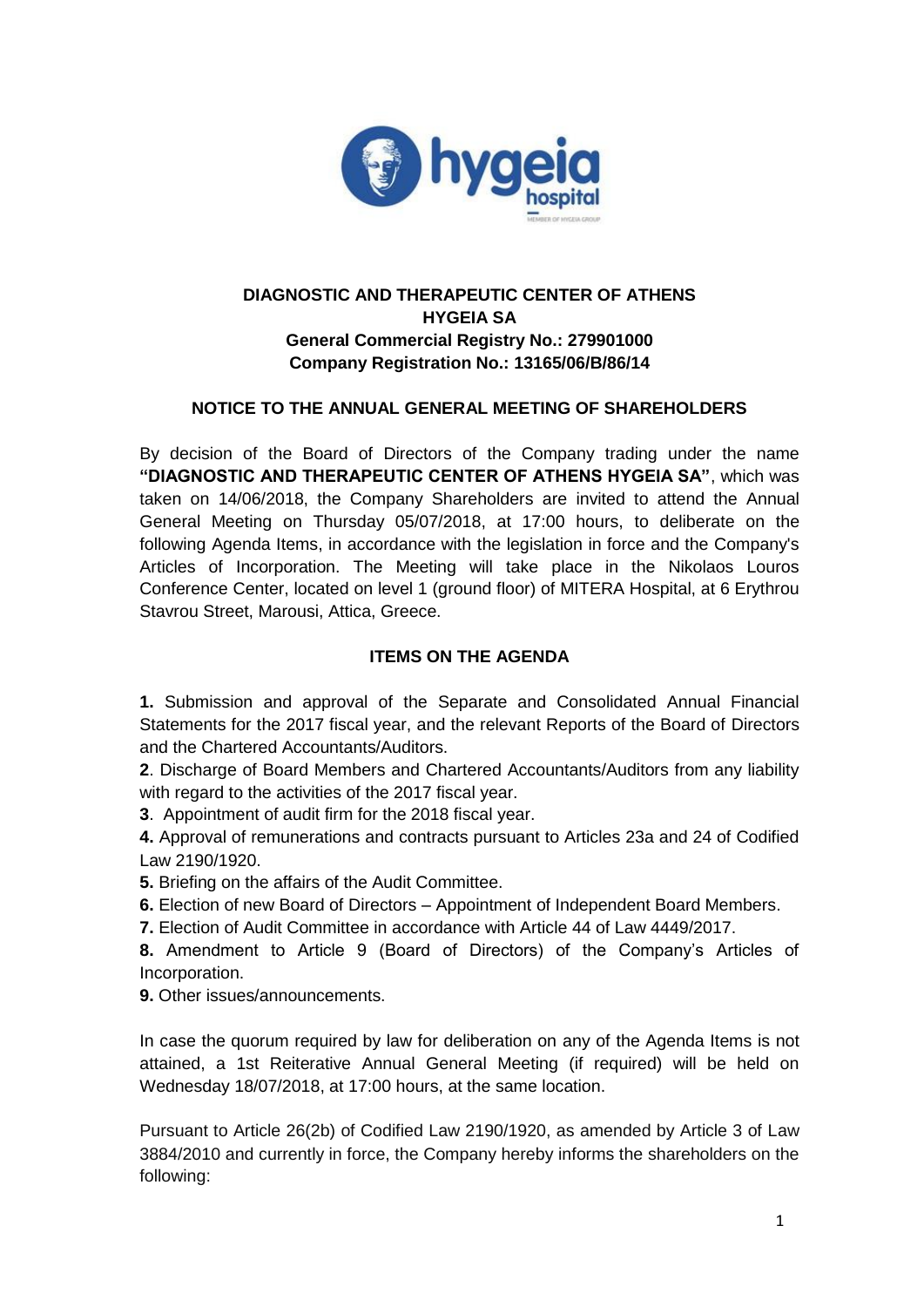

# **DIAGNOSTIC AND THERAPEUTIC CENTER OF ATHENS HYGEIA SA General Commercial Registry No.: 279901000 Company Registration No.: 13165/06/B/86/14**

## **NOTICE TO THE ANNUAL GENERAL MEETING OF SHAREHOLDERS**

By decision of the Board of Directors of the Company trading under the name **"DIAGNOSTIC AND THERAPEUTIC CENTER OF ATHENS HYGEIA SA"**, which was taken on 14/06/2018, the Company Shareholders are invited to attend the Annual General Meeting on Thursday 05/07/2018, at 17:00 hours, to deliberate on the following Agenda Items, in accordance with the legislation in force and the Company's Articles of Incorporation. The Meeting will take place in the Nikolaos Louros Conference Center, located on level 1 (ground floor) of MITERA Hospital, at 6 Erythrou Stavrou Street, Marousi, Attica, Greece.

### **ITEMS ON THE AGENDA**

**1.** Submission and approval of the Separate and Consolidated Annual Financial Statements for the 2017 fiscal year, and the relevant Reports of the Board of Directors and the Chartered Accountants/Auditors.

**2**. Discharge of Board Members and Chartered Accountants/Auditors from any liability with regard to the activities of the 2017 fiscal year.

**3**. Appointment of audit firm for the 2018 fiscal year.

**4.** Approval of remunerations and contracts pursuant to Articles 23a and 24 of Codified Law 2190/1920.

**5.** Briefing on the affairs of the Audit Committee.

- **6.** Election of new Board of Directors Appointment of Independent Board Members.
- **7.** Election of Audit Committee in accordance with Article 44 of Law 4449/2017.

**8.** Amendment to Article 9 (Board of Directors) of the Company's Articles of Incorporation.

**9.** Other issues/announcements.

In case the quorum required by law for deliberation on any of the Agenda Items is not attained, a 1st Reiterative Annual General Meeting (if required) will be held on Wednesday 18/07/2018, at 17:00 hours, at the same location.

Pursuant to Article 26(2b) of Codified Law 2190/1920, as amended by Article 3 of Law 3884/2010 and currently in force, the Company hereby informs the shareholders on the following: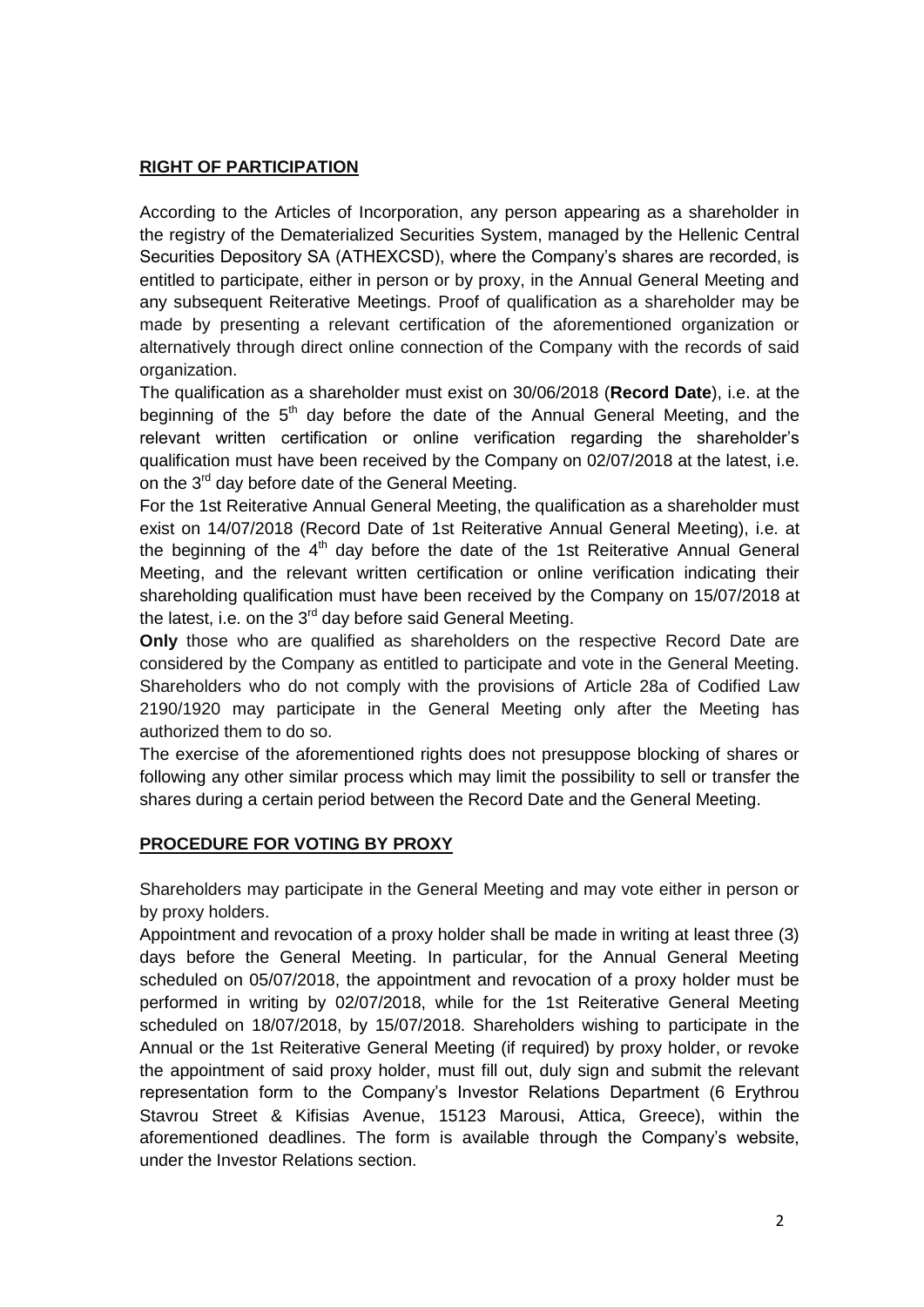## **RIGHT OF PARTICIPATION**

According to the Articles of Incorporation, any person appearing as a shareholder in the registry of the Dematerialized Securities System, managed by the Hellenic Central Securities Depository SA (ATHEXCSD), where the Company's shares are recorded, is entitled to participate, either in person or by proxy, in the Annual General Meeting and any subsequent Reiterative Meetings. Proof of qualification as a shareholder may be made by presenting a relevant certification of the aforementioned organization or alternatively through direct online connection of the Company with the records of said organization.

The qualification as a shareholder must exist on 30/06/2018 (**Record Date**), i.e. at the beginning of the  $5<sup>th</sup>$  day before the date of the Annual General Meeting, and the relevant written certification or online verification regarding the shareholder's qualification must have been received by the Company on 02/07/2018 at the latest, i.e. on the 3<sup>rd</sup> day before date of the General Meeting.

For the 1st Reiterative Annual General Meeting, the qualification as a shareholder must exist on 14/07/2018 (Record Date of 1st Reiterative Annual General Meeting), i.e. at the beginning of the  $4<sup>th</sup>$  day before the date of the 1st Reiterative Annual General Meeting, and the relevant written certification or online verification indicating their shareholding qualification must have been received by the Company on 15/07/2018 at the latest, i.e. on the  $3<sup>rd</sup>$  day before said General Meeting.

**Only** those who are qualified as shareholders on the respective Record Date are considered by the Company as entitled to participate and vote in the General Meeting. Shareholders who do not comply with the provisions of Article 28a of Codified Law 2190/1920 may participate in the General Meeting only after the Meeting has authorized them to do so.

The exercise of the aforementioned rights does not presuppose blocking of shares or following any other similar process which may limit the possibility to sell or transfer the shares during a certain period between the Record Date and the General Meeting.

#### **PROCEDURE FOR VOTING BY PROXY**

Shareholders may participate in the General Meeting and may vote either in person or by proxy holders.

Appointment and revocation of a proxy holder shall be made in writing at least three (3) days before the General Meeting. In particular, for the Annual General Meeting scheduled on 05/07/2018, the appointment and revocation of a proxy holder must be performed in writing by 02/07/2018, while for the 1st Reiterative General Meeting scheduled on 18/07/2018, by 15/07/2018. Shareholders wishing to participate in the Annual or the 1st Reiterative General Meeting (if required) by proxy holder, or revoke the appointment of said proxy holder, must fill out, duly sign and submit the relevant representation form to the Company's Investor Relations Department (6 Erythrou Stavrou Street & Kifisias Avenue, 15123 Marousi, Attica, Greece), within the aforementioned deadlines. The form is available through the Company's website, under the Investor Relations section.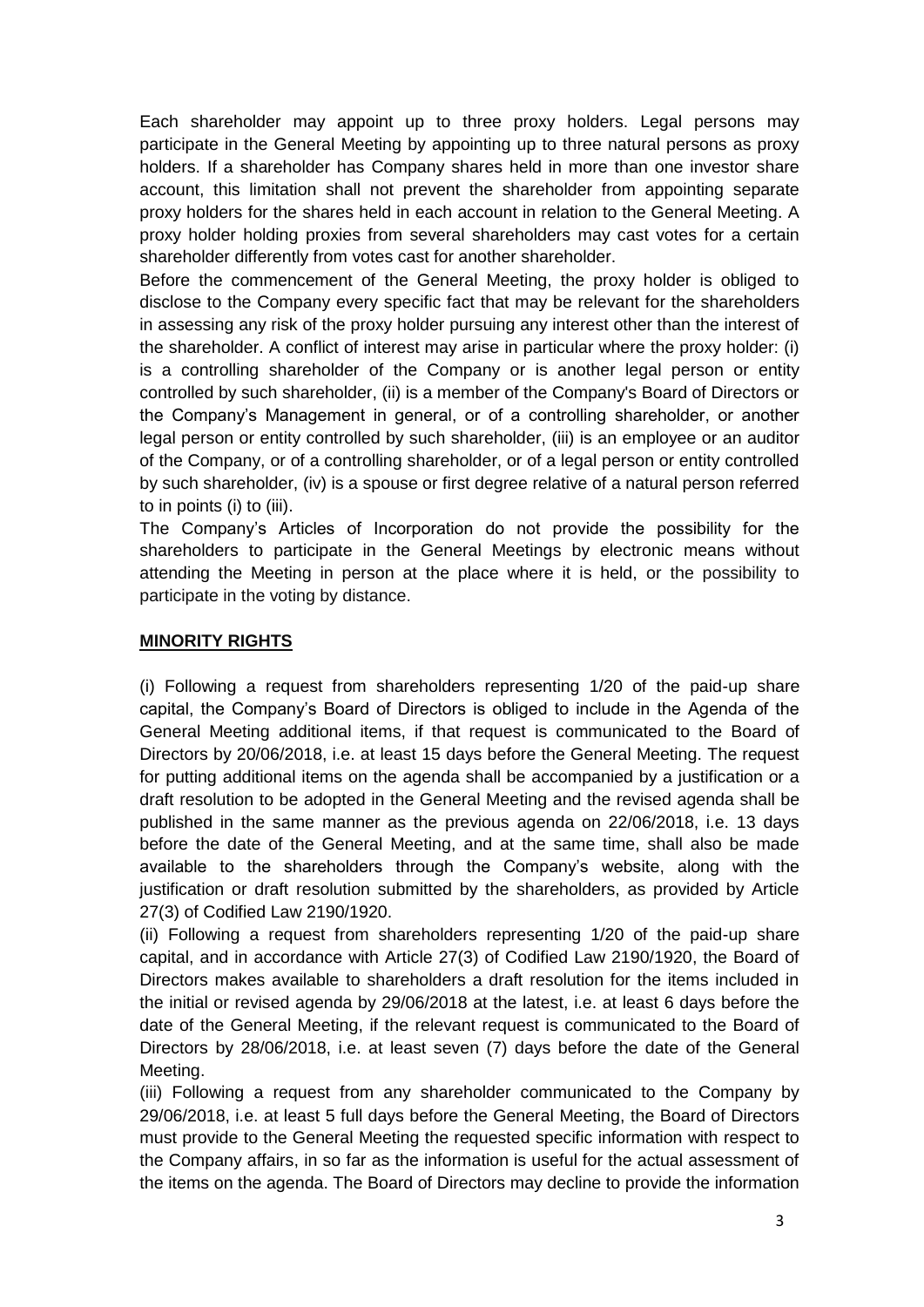Each shareholder may appoint up to three proxy holders. Legal persons may participate in the General Meeting by appointing up to three natural persons as proxy holders. If a shareholder has Company shares held in more than one investor share account, this limitation shall not prevent the shareholder from appointing separate proxy holders for the shares held in each account in relation to the General Meeting. A proxy holder holding proxies from several shareholders may cast votes for a certain shareholder differently from votes cast for another shareholder.

Before the commencement of the General Meeting, the proxy holder is obliged to disclose to the Company every specific fact that may be relevant for the shareholders in assessing any risk of the proxy holder pursuing any interest other than the interest of the shareholder. A conflict of interest may arise in particular where the proxy holder: (i) is a controlling shareholder of the Company or is another legal person or entity controlled by such shareholder, (ii) is a member of the Company's Board of Directors or the Company's Management in general, or of a controlling shareholder, or another legal person or entity controlled by such shareholder, (iii) is an employee or an auditor of the Company, or of a controlling shareholder, or of a legal person or entity controlled by such shareholder, (iv) is a spouse or first degree relative of a natural person referred to in points (i) to (iii).

The Company's Articles of Incorporation do not provide the possibility for the shareholders to participate in the General Meetings by electronic means without attending the Meeting in person at the place where it is held, or the possibility to participate in the voting by distance.

#### **MINORITY RIGHTS**

(i) Following a request from shareholders representing 1/20 of the paid-up share capital, the Company's Board of Directors is obliged to include in the Agenda of the General Meeting additional items, if that request is communicated to the Board of Directors by 20/06/2018, i.e. at least 15 days before the General Meeting. The request for putting additional items on the agenda shall be accompanied by a justification or a draft resolution to be adopted in the General Meeting and the revised agenda shall be published in the same manner as the previous agenda on 22/06/2018, i.e. 13 days before the date of the General Meeting, and at the same time, shall also be made available to the shareholders through the Company's website, along with the justification or draft resolution submitted by the shareholders, as provided by Article 27(3) of Codified Law 2190/1920.

(ii) Following a request from shareholders representing 1/20 of the paid-up share capital, and in accordance with Article 27(3) of Codified Law 2190/1920, the Board of Directors makes available to shareholders a draft resolution for the items included in the initial or revised agenda by 29/06/2018 at the latest, i.e. at least 6 days before the date of the General Meeting, if the relevant request is communicated to the Board of Directors by 28/06/2018, i.e. at least seven (7) days before the date of the General Meeting.

(iii) Following a request from any shareholder communicated to the Company by 29/06/2018, i.e. at least 5 full days before the General Meeting, the Board of Directors must provide to the General Meeting the requested specific information with respect to the Company affairs, in so far as the information is useful for the actual assessment of the items on the agenda. The Board of Directors may decline to provide the information